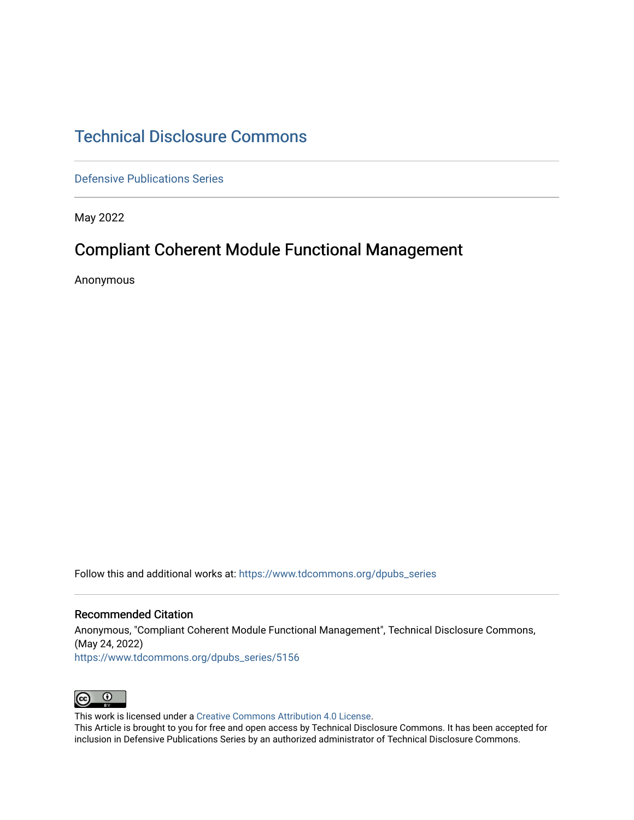## [Technical Disclosure Commons](https://www.tdcommons.org/)

[Defensive Publications Series](https://www.tdcommons.org/dpubs_series)

May 2022

# Compliant Coherent Module Functional Management

Anonymous

Follow this and additional works at: [https://www.tdcommons.org/dpubs\\_series](https://www.tdcommons.org/dpubs_series?utm_source=www.tdcommons.org%2Fdpubs_series%2F5156&utm_medium=PDF&utm_campaign=PDFCoverPages) 

#### Recommended Citation

Anonymous, "Compliant Coherent Module Functional Management", Technical Disclosure Commons, (May 24, 2022) [https://www.tdcommons.org/dpubs\\_series/5156](https://www.tdcommons.org/dpubs_series/5156?utm_source=www.tdcommons.org%2Fdpubs_series%2F5156&utm_medium=PDF&utm_campaign=PDFCoverPages)



This work is licensed under a [Creative Commons Attribution 4.0 License](http://creativecommons.org/licenses/by/4.0/deed.en_US).

This Article is brought to you for free and open access by Technical Disclosure Commons. It has been accepted for inclusion in Defensive Publications Series by an authorized administrator of Technical Disclosure Commons.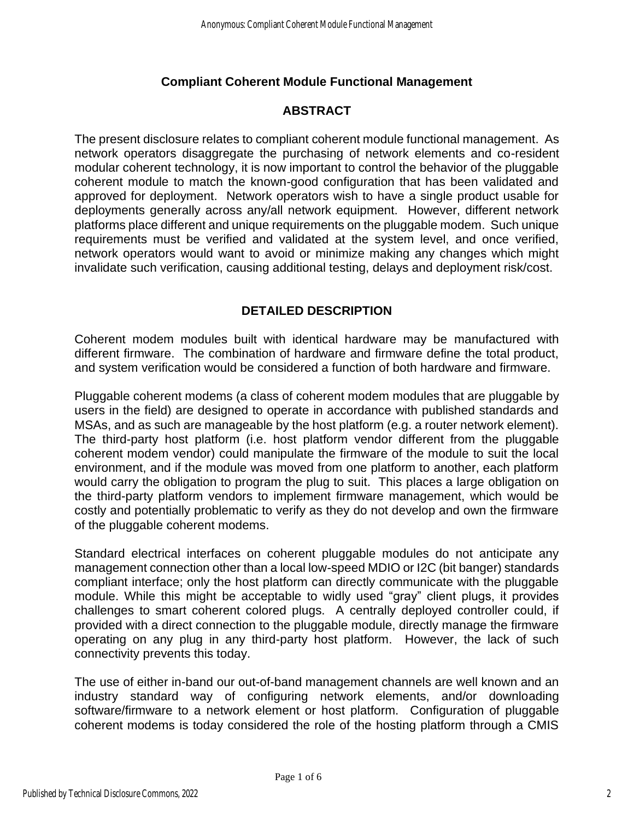#### **Compliant Coherent Module Functional Management**

### **ABSTRACT**

The present disclosure relates to compliant coherent module functional management. As network operators disaggregate the purchasing of network elements and co-resident modular coherent technology, it is now important to control the behavior of the pluggable coherent module to match the known-good configuration that has been validated and approved for deployment. Network operators wish to have a single product usable for deployments generally across any/all network equipment. However, different network platforms place different and unique requirements on the pluggable modem. Such unique requirements must be verified and validated at the system level, and once verified, network operators would want to avoid or minimize making any changes which might invalidate such verification, causing additional testing, delays and deployment risk/cost.

### **DETAILED DESCRIPTION**

Coherent modem modules built with identical hardware may be manufactured with different firmware. The combination of hardware and firmware define the total product, and system verification would be considered a function of both hardware and firmware.

Pluggable coherent modems (a class of coherent modem modules that are pluggable by users in the field) are designed to operate in accordance with published standards and MSAs, and as such are manageable by the host platform (e.g. a router network element). The third-party host platform (i.e. host platform vendor different from the pluggable coherent modem vendor) could manipulate the firmware of the module to suit the local environment, and if the module was moved from one platform to another, each platform would carry the obligation to program the plug to suit. This places a large obligation on the third-party platform vendors to implement firmware management, which would be costly and potentially problematic to verify as they do not develop and own the firmware of the pluggable coherent modems.

Standard electrical interfaces on coherent pluggable modules do not anticipate any management connection other than a local low-speed MDIO or I2C (bit banger) standards compliant interface; only the host platform can directly communicate with the pluggable module. While this might be acceptable to widly used "gray" client plugs, it provides challenges to smart coherent colored plugs. A centrally deployed controller could, if provided with a direct connection to the pluggable module, directly manage the firmware operating on any plug in any third-party host platform. However, the lack of such connectivity prevents this today.

The use of either in-band our out-of-band management channels are well known and an industry standard way of configuring network elements, and/or downloading software/firmware to a network element or host platform. Configuration of pluggable coherent modems is today considered the role of the hosting platform through a CMIS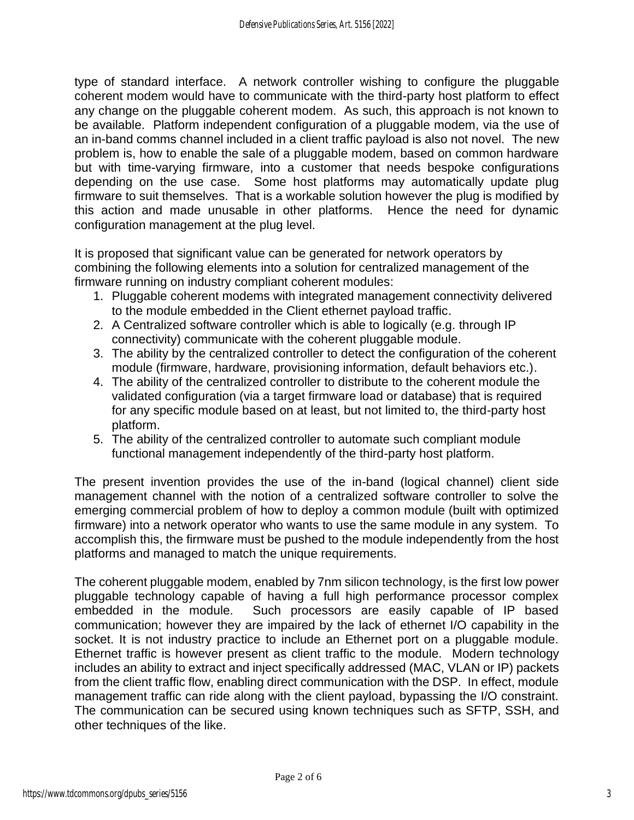type of standard interface. A network controller wishing to configure the pluggable coherent modem would have to communicate with the third-party host platform to effect any change on the pluggable coherent modem. As such, this approach is not known to be available. Platform independent configuration of a pluggable modem, via the use of an in-band comms channel included in a client traffic payload is also not novel. The new problem is, how to enable the sale of a pluggable modem, based on common hardware but with time-varying firmware, into a customer that needs bespoke configurations depending on the use case. Some host platforms may automatically update plug firmware to suit themselves. That is a workable solution however the plug is modified by this action and made unusable in other platforms. Hence the need for dynamic configuration management at the plug level.

It is proposed that significant value can be generated for network operators by combining the following elements into a solution for centralized management of the firmware running on industry compliant coherent modules:

- 1. Pluggable coherent modems with integrated management connectivity delivered to the module embedded in the Client ethernet payload traffic.
- 2. A Centralized software controller which is able to logically (e.g. through IP connectivity) communicate with the coherent pluggable module.
- 3. The ability by the centralized controller to detect the configuration of the coherent module (firmware, hardware, provisioning information, default behaviors etc.).
- 4. The ability of the centralized controller to distribute to the coherent module the validated configuration (via a target firmware load or database) that is required for any specific module based on at least, but not limited to, the third-party host platform.
- 5. The ability of the centralized controller to automate such compliant module functional management independently of the third-party host platform.

The present invention provides the use of the in-band (logical channel) client side management channel with the notion of a centralized software controller to solve the emerging commercial problem of how to deploy a common module (built with optimized firmware) into a network operator who wants to use the same module in any system. To accomplish this, the firmware must be pushed to the module independently from the host platforms and managed to match the unique requirements.

The coherent pluggable modem, enabled by 7nm silicon technology, is the first low power pluggable technology capable of having a full high performance processor complex embedded in the module. Such processors are easily capable of IP based communication; however they are impaired by the lack of ethernet I/O capability in the socket. It is not industry practice to include an Ethernet port on a pluggable module. Ethernet traffic is however present as client traffic to the module. Modern technology includes an ability to extract and inject specifically addressed (MAC, VLAN or IP) packets from the client traffic flow, enabling direct communication with the DSP. In effect, module management traffic can ride along with the client payload, bypassing the I/O constraint. The communication can be secured using known techniques such as SFTP, SSH, and other techniques of the like.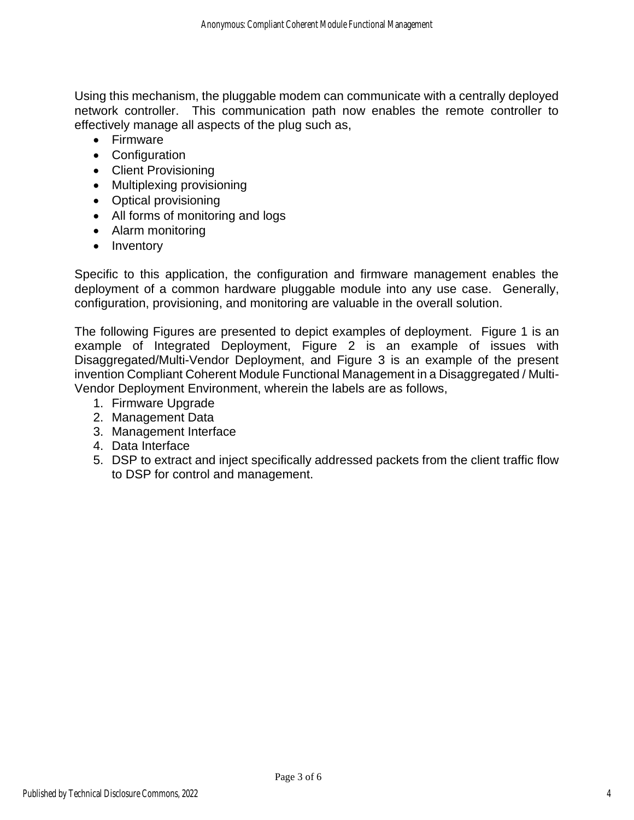Using this mechanism, the pluggable modem can communicate with a centrally deployed network controller. This communication path now enables the remote controller to effectively manage all aspects of the plug such as,

- Firmware
- Configuration
- Client Provisioning
- Multiplexing provisioning
- Optical provisioning
- All forms of monitoring and logs
- Alarm monitoring
- Inventory

Specific to this application, the configuration and firmware management enables the deployment of a common hardware pluggable module into any use case. Generally, configuration, provisioning, and monitoring are valuable in the overall solution.

The following Figures are presented to depict examples of deployment. Figure 1 is an example of Integrated Deployment, Figure 2 is an example of issues with Disaggregated/Multi-Vendor Deployment, and Figure 3 is an example of the present invention Compliant Coherent Module Functional Management in a Disaggregated / Multi-Vendor Deployment Environment, wherein the labels are as follows,

- 1. Firmware Upgrade
- 2. Management Data
- 3. Management Interface
- 4. Data Interface
- 5. DSP to extract and inject specifically addressed packets from the client traffic flow to DSP for control and management.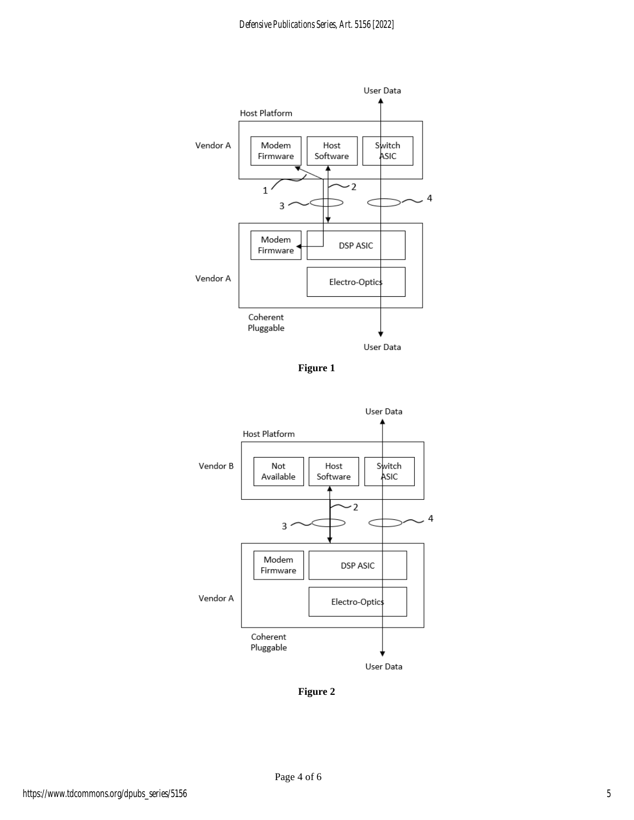

**Figure 1**



**Figure 2**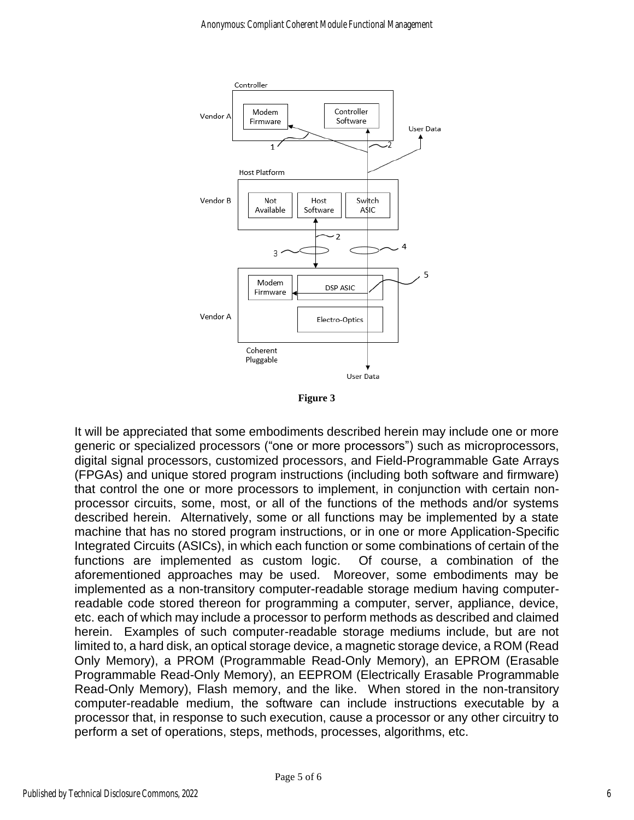

**Figure 3**

It will be appreciated that some embodiments described herein may include one or more generic or specialized processors ("one or more processors") such as microprocessors, digital signal processors, customized processors, and Field-Programmable Gate Arrays (FPGAs) and unique stored program instructions (including both software and firmware) that control the one or more processors to implement, in conjunction with certain nonprocessor circuits, some, most, or all of the functions of the methods and/or systems described herein. Alternatively, some or all functions may be implemented by a state machine that has no stored program instructions, or in one or more Application-Specific Integrated Circuits (ASICs), in which each function or some combinations of certain of the functions are implemented as custom logic. Of course, a combination of the aforementioned approaches may be used. Moreover, some embodiments may be implemented as a non-transitory computer-readable storage medium having computerreadable code stored thereon for programming a computer, server, appliance, device, etc. each of which may include a processor to perform methods as described and claimed herein. Examples of such computer-readable storage mediums include, but are not limited to, a hard disk, an optical storage device, a magnetic storage device, a ROM (Read Only Memory), a PROM (Programmable Read-Only Memory), an EPROM (Erasable Programmable Read-Only Memory), an EEPROM (Electrically Erasable Programmable Read-Only Memory), Flash memory, and the like. When stored in the non-transitory computer-readable medium, the software can include instructions executable by a processor that, in response to such execution, cause a processor or any other circuitry to perform a set of operations, steps, methods, processes, algorithms, etc.